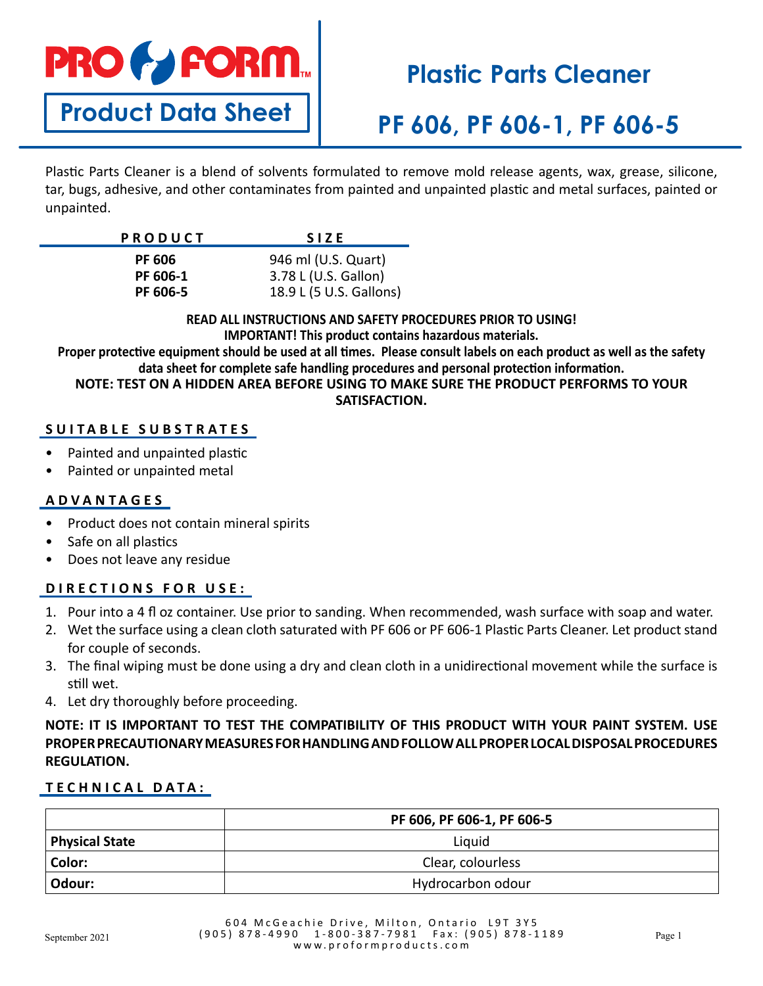

**Product Data Sheet**

# **Plastic Parts Cleaner**

# **PF 606, PF 606-1, PF 606-5**

Plastic Parts Cleaner is a blend of solvents formulated to remove mold release agents, wax, grease, silicone, tar, bugs, adhesive, and other contaminates from painted and unpainted plastic and metal surfaces, painted or unpainted.

| <b>PRODUCT</b> | <b>SIZE</b>             |
|----------------|-------------------------|
| <b>PF 606</b>  | 946 ml (U.S. Quart)     |
| PF 606-1       | 3.78 L (U.S. Gallon)    |
| PF 606-5       | 18.9 L (5 U.S. Gallons) |

**READ ALL INSTRUCTIONS AND SAFETY PROCEDURES PRIOR TO USING!**

**IMPORTANT! This product contains hazardous materials. Proper protective equipment should be used at all times. Please consult labels on each product as well as the safety** 

**data sheet for complete safe handling procedures and personal protection information.**

**NOTE: TEST ON A HIDDEN AREA BEFORE USING TO MAKE SURE THE PRODUCT PERFORMS TO YOUR SATISFACTION.** 

## **SUITABLE SUBSTRATES**

- Painted and unpainted plastic
- Painted or unpainted metal

### **ADVANTAGES**

- Product does not contain mineral spirits
- Safe on all plastics
- Does not leave any residue

## **DIRECTIONS FOR USE:**

- 1. Pour into a 4 fl oz container. Use prior to sanding. When recommended, wash surface with soap and water.
- 2. Wet the surface using a clean cloth saturated with PF 606 or PF 606-1 Plastic Parts Cleaner. Let product stand for couple of seconds.
- 3. The final wiping must be done using a dry and clean cloth in a unidirectional movement while the surface is still wet.
- 4. Let dry thoroughly before proceeding.

## **NOTE: IT IS IMPORTANT TO TEST THE COMPATIBILITY OF THIS PRODUCT WITH YOUR PAINT SYSTEM. USE PROPER PRECAUTIONARY MEASURES FOR HANDLING AND FOLLOW ALL PROPER LOCAL DISPOSAL PROCEDURES REGULATION.**

## **TECHNICAL DATA:**

|                       | PF 606, PF 606-1, PF 606-5 |
|-----------------------|----------------------------|
| <b>Physical State</b> | Liquid                     |
| Color:                | Clear, colourless          |
| Odour:                | Hydrocarbon odour          |